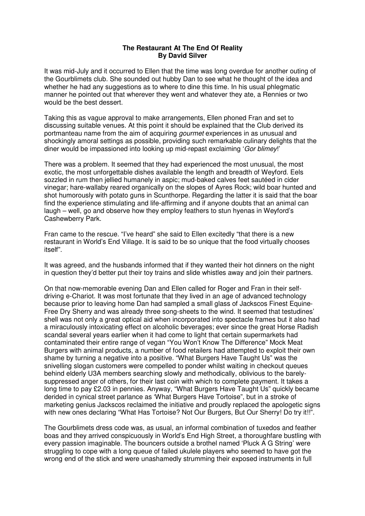## **The Restaurant At The End Of Reality By David Silver**

It was mid-July and it occurred to Ellen that the time was long overdue for another outing of the Gourblimets club. She sounded out hubby Dan to see what he thought of the idea and whether he had any suggestions as to where to dine this time. In his usual phlegmatic manner he pointed out that wherever they went and whatever they ate, a Rennies or two would be the best dessert.

Taking this as vague approval to make arrangements, Ellen phoned Fran and set to discussing suitable venues. At this point it should be explained that the Club derived its portmanteau name from the aim of acquiring *gourmet* experiences in as unusual and shockingly amoral settings as possible, providing such remarkable culinary delights that the diner would be impassioned into looking up mid-repast exclaiming 'Gor blimey!'

There was a problem. It seemed that they had experienced the most unusual, the most exotic, the most unforgettable dishes available the length and breadth of Weyford. Eels sozzled in rum then jellied humanely in aspic; mud-baked calves feet sautéed in cider vinegar; hare-wallaby reared organically on the slopes of Ayres Rock; wild boar hunted and shot humorously with potato guns in Scunthorpe. Regarding the latter it is said that the boar find the experience stimulating and life-affirming and if anyone doubts that an animal can laugh – well, go and observe how they employ feathers to stun hyenas in Weyford's Cashewberry Park.

Fran came to the rescue. "I've heard" she said to Ellen excitedly "that there is a new restaurant in World's End Village. It is said to be so unique that the food virtually chooses itself".

It was agreed, and the husbands informed that if they wanted their hot dinners on the night in question they'd better put their toy trains and slide whistles away and join their partners.

On that now-memorable evening Dan and Ellen called for Roger and Fran in their selfdriving e-Chariot. It was most fortunate that they lived in an age of advanced technology because prior to leaving home Dan had sampled a small glass of Jackscos Finest Equine-Free Dry Sherry and was already three song-sheets to the wind. It seemed that testudines' shell was not only a great optical aid when incorporated into spectacle frames but it also had a miraculously intoxicating effect on alcoholic beverages; ever since the great Horse Radish scandal several years earlier when it had come to light that certain supermarkets had contaminated their entire range of vegan "You Won't Know The Difference" Mock Meat Burgers with animal products, a number of food retailers had attempted to exploit their own shame by turning a negative into a positive. "What Burgers Have Taught Us" was the snivelling slogan customers were compelled to ponder whilst waiting in checkout queues behind elderly U3A members searching slowly and methodically, oblivious to the barelysuppressed anger of others, for their last coin with which to complete payment. It takes a long time to pay £2.03 in pennies. Anyway, "What Burgers Have Taught Us" quickly became derided in cynical street parlance as 'What Burgers Have Tortoise", but in a stroke of marketing genius Jackscos reclaimed the initiative and proudly replaced the apologetic signs with new ones declaring "What Has Tortoise? Not Our Burgers, But Our Sherry! Do try it!!".

The Gourblimets dress code was, as usual, an informal combination of tuxedos and feather boas and they arrived conspicuously in World's End High Street, a thoroughfare bustling with every passion imaginable. The bouncers outside a brothel named 'Pluck A G String' were struggling to cope with a long queue of failed ukulele players who seemed to have got the wrong end of the stick and were unashamedly strumming their exposed instruments in full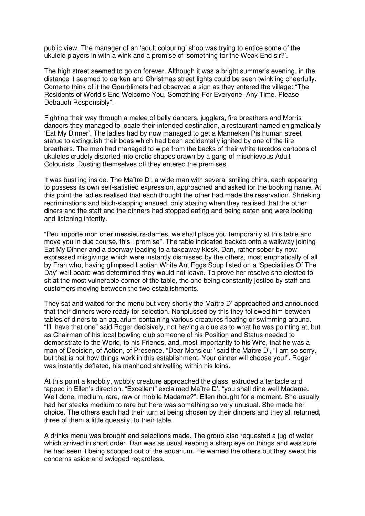public view. The manager of an 'adult colouring' shop was trying to entice some of the ukulele players in with a wink and a promise of 'something for the Weak End sir?'.

The high street seemed to go on forever. Although it was a bright summer's evening, in the distance it seemed to darken and Christmas street lights could be seen twinkling cheerfully. Come to think of it the Gourblimets had observed a sign as they entered the village: "The Residents of World's End Welcome You. Something For Everyone, Any Time. Please Debauch Responsibly".

Fighting their way through a melee of belly dancers, jugglers, fire breathers and Morris dancers they managed to locate their intended destination, a restaurant named enigmatically 'Eat My Dinner'. The ladies had by now managed to get a Manneken Pis human street statue to extinguish their boas which had been accidentally ignited by one of the fire breathers. The men had managed to wipe from the backs of their white tuxedos cartoons of ukuleles crudely distorted into erotic shapes drawn by a gang of mischievous Adult Colourists. Dusting themselves off they entered the premises.

It was bustling inside. The Maître D', a wide man with several smiling chins, each appearing to possess its own self-satisfied expression, approached and asked for the booking name. At this point the ladies realised that each thought the other had made the reservation. Shrieking recriminations and bitch-slapping ensued, only abating when they realised that the other diners and the staff and the dinners had stopped eating and being eaten and were looking and listening intently.

"Peu importe mon cher messieurs-dames, we shall place you temporarily at this table and move you in due course, this I promise". The table indicated backed onto a walkway joining Eat My Dinner and a doorway leading to a takeaway kiosk. Dan, rather sober by now, expressed misgivings which were instantly dismissed by the others, most emphatically of all by Fran who, having glimpsed Laotian White Ant Eggs Soup listed on a 'Specialities Of The Day' wall-board was determined they would not leave. To prove her resolve she elected to sit at the most vulnerable corner of the table, the one being constantly jostled by staff and customers moving between the two establishments.

They sat and waited for the menu but very shortly the Maître D' approached and announced that their dinners were ready for selection. Nonplussed by this they followed him between tables of diners to an aquarium containing various creatures floating or swimming around. "I'll have that one" said Roger decisively, not having a clue as to what he was pointing at, but as Chairman of his local bowling club someone of his Position and Status needed to demonstrate to the World, to his Friends, and, most importantly to his Wife, that he was a man of Decision, of Action, of Presence. "Dear Monsieur" said the Maître D', "I am so sorry, but that is not how things work in this establishment. Your dinner will choose you!". Roger was instantly deflated, his manhood shrivelling within his loins.

At this point a knobbly, wobbly creature approached the glass, extruded a tentacle and tapped in Ellen's direction. "Excellent" exclaimed Maître D', "you shall dine well Madame. Well done, medium, rare, raw or mobile Madame?". Ellen thought for a moment. She usually had her steaks medium to rare but here was something so very unusual. She made her choice. The others each had their turn at being chosen by their dinners and they all returned, three of them a little queasily, to their table.

A drinks menu was brought and selections made. The group also requested a jug of water which arrived in short order. Dan was as usual keeping a sharp eye on things and was sure he had seen it being scooped out of the aquarium. He warned the others but they swept his concerns aside and swigged regardless.